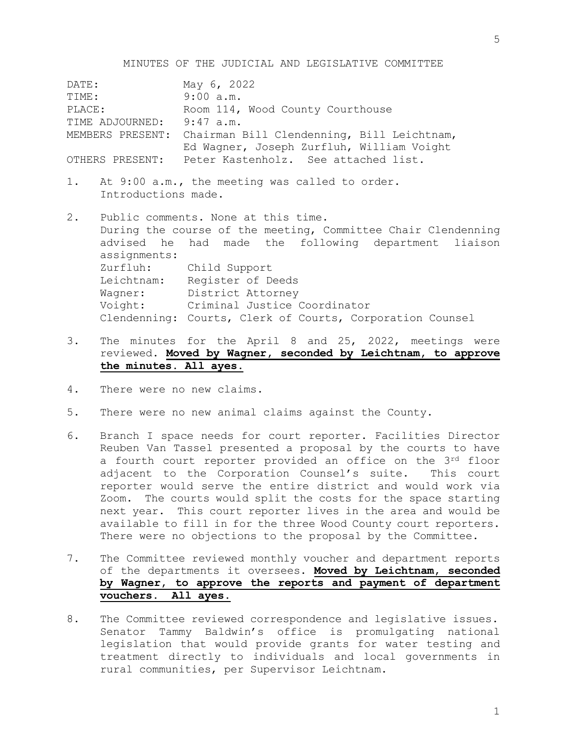MINUTES OF THE JUDICIAL AND LEGISLATIVE COMMITTEE

DATE: May 6, 2022 TIME: 9:00 a.m. PLACE: Room 114, Wood County Courthouse TIME ADJOURNED: 9:47 a.m. MEMBERS PRESENT: Chairman Bill Clendenning, Bill Leichtnam, Ed Wagner, Joseph Zurfluh, William Voight OTHERS PRESENT: Peter Kastenholz. See attached list. 1. At 9:00 a.m., the meeting was called to order. Introductions made. 2. Public comments. None at this time. During the course of the meeting, Committee Chair Clendenning advised he had made the following department liaison assignments: Zurfluh: Child Support Leichtnam: Register of Deeds Wagner: District Attorney Voight: Criminal Justice Coordinator Clendenning: Courts, Clerk of Courts, Corporation Counsel

- 3. The minutes for the April 8 and 25, 2022, meetings were reviewed. **Moved by Wagner, seconded by Leichtnam, to approve the minutes. All ayes.**
- 4. There were no new claims.
- 5. There were no new animal claims against the County.
- 6. Branch I space needs for court reporter. Facilities Director Reuben Van Tassel presented a proposal by the courts to have a fourth court reporter provided an office on the 3rd floor adjacent to the Corporation Counsel's suite. This court reporter would serve the entire district and would work via Zoom. The courts would split the costs for the space starting next year. This court reporter lives in the area and would be available to fill in for the three Wood County court reporters. There were no objections to the proposal by the Committee.
- 7. The Committee reviewed monthly voucher and department reports of the departments it oversees. **Moved by Leichtnam, seconded by Wagner, to approve the reports and payment of department vouchers. All ayes.**
- 8. The Committee reviewed correspondence and legislative issues. Senator Tammy Baldwin's office is promulgating national legislation that would provide grants for water testing and treatment directly to individuals and local governments in rural communities, per Supervisor Leichtnam.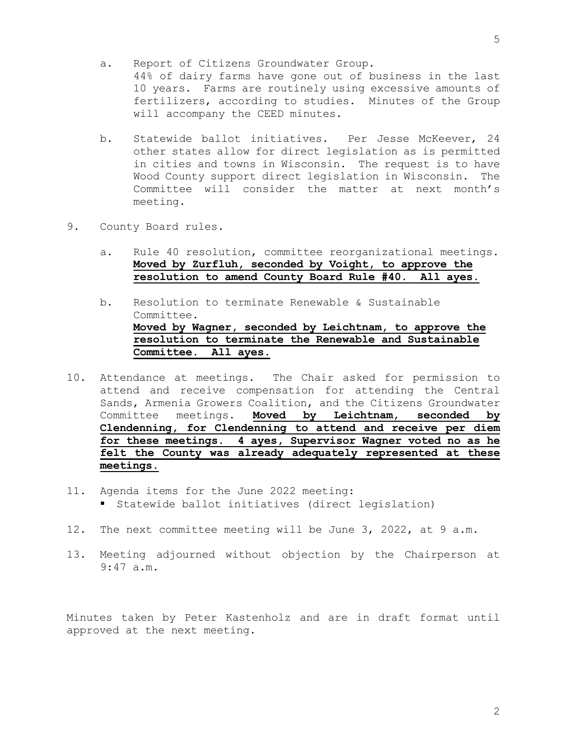- a. Report of Citizens Groundwater Group. 44% of dairy farms have gone out of business in the last 10 years. Farms are routinely using excessive amounts of fertilizers, according to studies. Minutes of the Group will accompany the CEED minutes.
- b. Statewide ballot initiatives. Per Jesse McKeever, 24 other states allow for direct legislation as is permitted in cities and towns in Wisconsin. The request is to have Wood County support direct legislation in Wisconsin. The Committee will consider the matter at next month's meeting.
- 9. County Board rules.
	- a. Rule 40 resolution, committee reorganizational meetings. **Moved by Zurfluh, seconded by Voight, to approve the resolution to amend County Board Rule #40. All ayes.**
	- b. Resolution to terminate Renewable & Sustainable Committee. **Moved by Wagner, seconded by Leichtnam, to approve the resolution to terminate the Renewable and Sustainable Committee. All ayes.**
- 10. Attendance at meetings. The Chair asked for permission to attend and receive compensation for attending the Central Sands, Armenia Growers Coalition, and the Citizens Groundwater Committee meetings. **Moved by Leichtnam, seconded by Clendenning, for Clendenning to attend and receive per diem for these meetings. 4 ayes, Supervisor Wagner voted no as he felt the County was already adequately represented at these meetings.**
- 11. Agenda items for the June 2022 meeting: Statewide ballot initiatives (direct legislation)
- 12. The next committee meeting will be June 3, 2022, at 9 a.m.
- 13. Meeting adjourned without objection by the Chairperson at 9:47 a.m.

Minutes taken by Peter Kastenholz and are in draft format until approved at the next meeting.